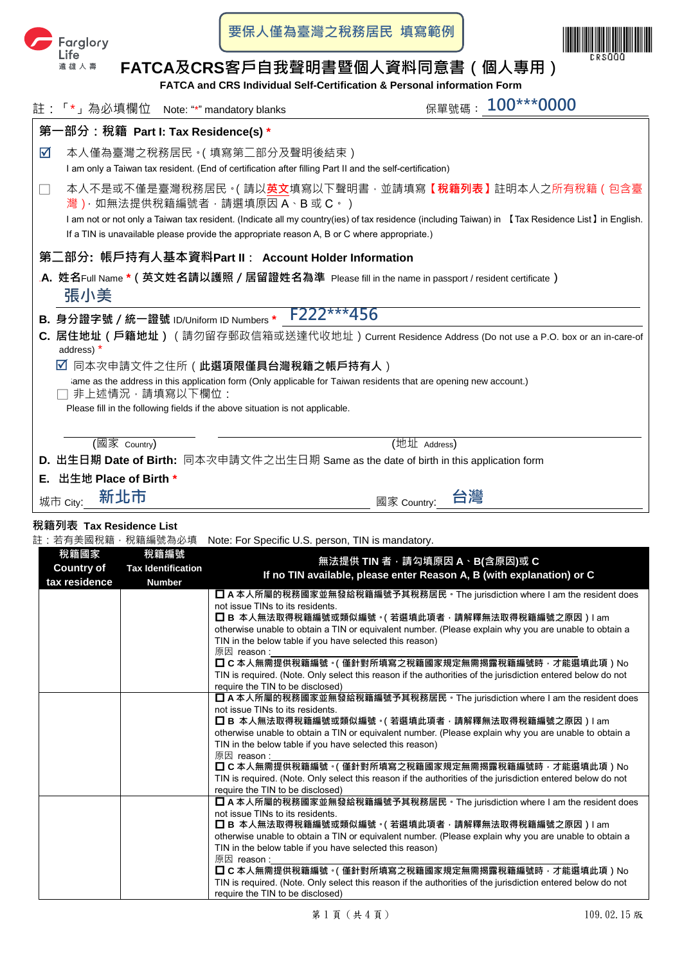

**要保人僅為臺灣之稅務居民 填寫範例**



# **FATCA及CRS客戶自我聲明書暨個人資料同意書(個人專用)**

**FATCA and CRS Individual Self-Certification & Personal information Form**

|                                                                                                                                                                     |                                                                                                                                    | 註:「*」為必填欄位 Note: "*" mandatory blanks                                                                                                    | 100***0000<br>保單號碼:                                                                                                                                                                                                           |  |  |
|---------------------------------------------------------------------------------------------------------------------------------------------------------------------|------------------------------------------------------------------------------------------------------------------------------------|------------------------------------------------------------------------------------------------------------------------------------------|-------------------------------------------------------------------------------------------------------------------------------------------------------------------------------------------------------------------------------|--|--|
|                                                                                                                                                                     |                                                                                                                                    | 第一部分:稅籍 Part I: Tax Residence(s) *                                                                                                       |                                                                                                                                                                                                                               |  |  |
| ☑                                                                                                                                                                   |                                                                                                                                    | 本人僅為臺灣之稅務居民。( 填寫第二部分及聲明後結束 )<br>I am only a Taiwan tax resident. (End of certification after filling Part II and the self-certification) |                                                                                                                                                                                                                               |  |  |
|                                                                                                                                                                     |                                                                                                                                    | 灣), 如無法提供稅籍編號者, 請選填原因 A、B 或 C。)<br>If a TIN is unavailable please provide the appropriate reason A, B or C where appropriate.)           | 本人不是或不僅是臺灣稅務居民。( 請以 <b>英文</b> 填寫以下聲明書 · 並請填寫【 <b>稅籍列表】</b> 註明本人之所有稅籍(包含臺<br>I am not or not only a Taiwan tax resident. (Indicate all my country(ies) of tax residence (including Taiwan) in [Tax Residence List] in English. |  |  |
| 第ニ部分: 帳戶持有人基本資料Part Ⅱ: Account Holder Information<br>. <b>A.</b> 姓名Full Name *(英文姓名請以護照/居留證姓名為準  Please fill in the name in passport / resident certificate)<br>張小美 |                                                                                                                                    |                                                                                                                                          |                                                                                                                                                                                                                               |  |  |
|                                                                                                                                                                     |                                                                                                                                    | B. 身分證字號 / 統一證號 ID/Uniform ID Numbers *                                                                                                  | F222***456                                                                                                                                                                                                                    |  |  |
|                                                                                                                                                                     | C. 居住地址(戶籍地址)(請勿留存郵政信箱或送達代收地址)Current Residence Address (Do not use a P.O. box or an in-care-of<br>address) *                      |                                                                                                                                          |                                                                                                                                                                                                                               |  |  |
|                                                                                                                                                                     | ☑<br>同本次申請文件之住所 ( 此選項限僅具台灣稅籍之帳戶持有人 )                                                                                               |                                                                                                                                          |                                                                                                                                                                                                                               |  |  |
|                                                                                                                                                                     | ame as the address in this application form (Only applicable for Taiwan residents that are opening new account.)<br>非上述情況,請填寫以下欄位: |                                                                                                                                          |                                                                                                                                                                                                                               |  |  |
|                                                                                                                                                                     |                                                                                                                                    | Please fill in the following fields if the above situation is not applicable.                                                            |                                                                                                                                                                                                                               |  |  |
|                                                                                                                                                                     |                                                                                                                                    |                                                                                                                                          |                                                                                                                                                                                                                               |  |  |
|                                                                                                                                                                     | (國家 Country)                                                                                                                       |                                                                                                                                          | (地址 Address)                                                                                                                                                                                                                  |  |  |
| <b>D. 出生日期 Date of Birth:</b> 同本次申請文件之出生日期 Same as the date of birth in this application form                                                                       |                                                                                                                                    |                                                                                                                                          |                                                                                                                                                                                                                               |  |  |
| Е.                                                                                                                                                                  | 出生地 Place of Birth *                                                                                                               |                                                                                                                                          |                                                                                                                                                                                                                               |  |  |
|                                                                                                                                                                     | 新北市<br>城市 City:                                                                                                                    |                                                                                                                                          | 國家 Country:                                                                                                                                                                                                                   |  |  |

# **稅籍列表 Tax Residence List**

註: 若有美國稅籍,稅籍編號為必填 Note: For Specific U.S. person, TIN is mandatory.

| 稅籍國家<br><b>Country of</b><br>tax residence | 稅籍編號<br><b>Tax Identification</b><br><b>Number</b> | 無法提供 TIN 者,請勾填原因 A、B(含原因)或 C<br>If no TIN available, please enter Reason A, B (with explanation) or C                                                         |
|--------------------------------------------|----------------------------------------------------|---------------------------------------------------------------------------------------------------------------------------------------------------------------|
|                                            |                                                    | □ A 本人所屬的稅務國家並無發給稅籍編號予其稅務居民 。 The jurisdiction where I am the resident does                                                                                   |
|                                            |                                                    | not issue TINs to its residents.                                                                                                                              |
|                                            |                                                    | ◘ В 本人無法取得稅籍編號或類似編號。( 若選填此項者 · 請解釋無法取得稅籍編號之原因 ) l am                                                                                                          |
|                                            |                                                    | otherwise unable to obtain a TIN or equivalent number. (Please explain why you are unable to obtain a                                                         |
|                                            |                                                    | TIN in the below table if you have selected this reason)                                                                                                      |
|                                            |                                                    | 原因 reason :                                                                                                                                                   |
|                                            |                                                    | □ C 本人無需提供稅籍編號。( 僅針對所填寫之稅籍國家規定無需揭露稅籍編號時 · 才能選填此項 ) No                                                                                                         |
|                                            |                                                    | TIN is required. (Note. Only select this reason if the authorities of the jurisdiction entered below do not                                                   |
|                                            |                                                    | require the TIN to be disclosed)                                                                                                                              |
|                                            |                                                    | ■ A 本人所屬的稅務國家並無發給稅籍編號予其稅務居民 。 The jurisdiction where I am the resident does                                                                                   |
|                                            |                                                    | not issue TINs to its residents                                                                                                                               |
|                                            |                                                    | □ B 本人無法取得稅籍編號或類似編號。( 若選填此項者 · 請解釋無法取得稅籍編號之原因 ) l am<br>otherwise unable to obtain a TIN or equivalent number. (Please explain why you are unable to obtain a |
|                                            |                                                    | TIN in the below table if you have selected this reason)                                                                                                      |
|                                            |                                                    | 原因 reason:                                                                                                                                                    |
|                                            |                                                    | □ C 本人無需提供稅籍編號。( 僅針對所填寫之稅籍國家規定無需揭露稅籍編號時 · 才能選填此項 ) No                                                                                                         |
|                                            |                                                    | TIN is required. (Note. Only select this reason if the authorities of the jurisdiction entered below do not                                                   |
|                                            |                                                    | require the TIN to be disclosed)                                                                                                                              |
|                                            |                                                    | ■ A 本人所屬的稅務國家並無發給稅籍編號予其稅務居民 • The jurisdiction where I am the resident does                                                                                   |
|                                            |                                                    | not issue TINs to its residents.                                                                                                                              |
|                                            |                                                    | ◘ В 本人無法取得稅籍編號或類似編號 。( 若選填此項者 · 請解釋無法取得稅籍編號之原因 ) l am                                                                                                         |
|                                            |                                                    | otherwise unable to obtain a TIN or equivalent number. (Please explain why you are unable to obtain a                                                         |
|                                            |                                                    | TIN in the below table if you have selected this reason)                                                                                                      |
|                                            |                                                    | 原因 reason:                                                                                                                                                    |
|                                            |                                                    | ◘ C 本人無需提供稅籍編號 ∘( 僅針對所填寫之稅籍國家規定無需揭露稅籍編號時 · 才能選填此項 ) No                                                                                                        |
|                                            |                                                    | TIN is required. (Note. Only select this reason if the authorities of the jurisdiction entered below do not                                                   |
|                                            |                                                    | require the TIN to be disclosed)                                                                                                                              |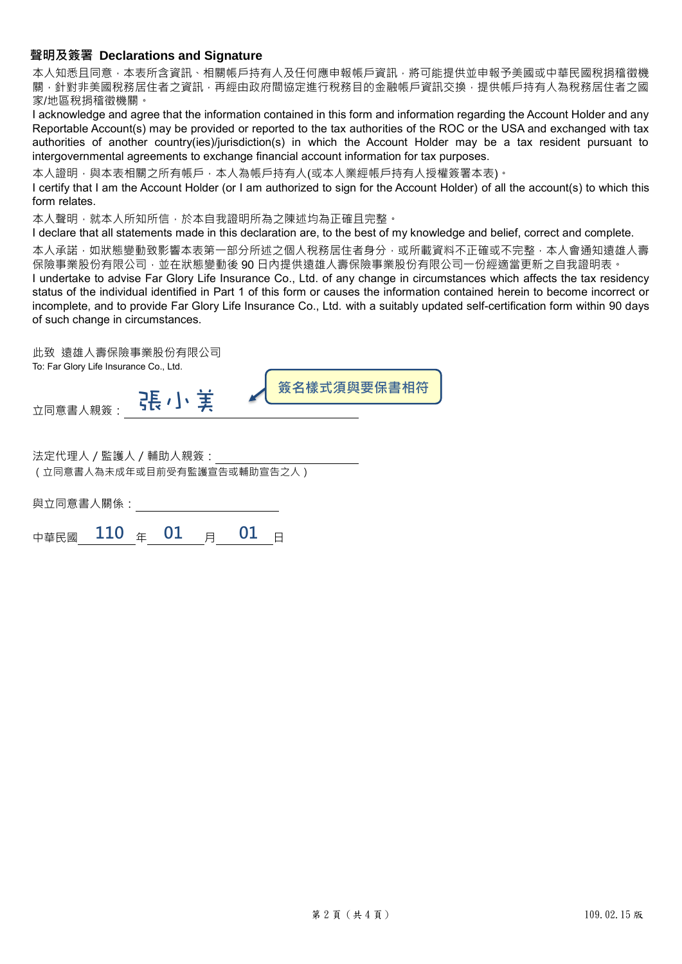# **聲明及簽署 Declarations and Signature**

本人知悉日同意,本表所含資訊、相關帳戶持有人及任何應申報帳戶資訊,將可能提供並申報予美國或中華民國稅捐稽徵機 關,針對非美國稅務居住者之資訊,再經由政府間協定進行稅務目的金融帳戶資訊交換,提供帳戶持有人為稅務居住者之國 家/地區稅捐稽徵機關。

I acknowledge and agree that the information contained in this form and information regarding the Account Holder and any Reportable Account(s) may be provided or reported to the tax authorities of the ROC or the USA and exchanged with tax authorities of another country(ies)/jurisdiction(s) in which the Account Holder may be a tax resident pursuant to intergovernmental agreements to exchange financial account information for tax purposes.

本人證明,與本表相關之所有帳戶,本人為帳戶持有人(或本人業經帳戶持有人授權簽署本表)。

I certify that I am the Account Holder (or I am authorized to sign for the Account Holder) of all the account(s) to which this form relates.

本人聲明,就本人所知所信,於本自我證明所為之陳述均為正確且完整。

I declare that all statements made in this declaration are, to the best of my knowledge and belief, correct and complete.

本人承諾,如狀態變動致影響本表第一部分所述之個人稅務居住者身分,或所載資料不正確或不完整,本人會通知遠雄人壽 保險事業股份有限公司,並在狀態變動後 90 日內提供遠雄人壽保險事業股份有限公司一份經適當更新之自我證明表。

I undertake to advise Far Glory Life Insurance Co., Ltd. of any change in circumstances which affects the tax residency status of the individual identified in Part 1 of this form or causes the information contained herein to become incorrect or incomplete, and to provide Far Glory Life Insurance Co., Ltd. with a suitably updated self-certification form within 90 days of such change in circumstances.

此致 遠雄人壽保險事業股份有限公司 To: Far Glory Life Insurance Co., Ltd.

立同意書人親簽: 【大 大 文 大 文 文 <mark>簽名樣式須與要保書相符</mark>

法定代理人/監護人/輔助人親簽: (立同意書人為未成年或目前受有監護宣告或輔助宣告之人)

與立同意書人關係:

中華民國 110 年 01 月 01 日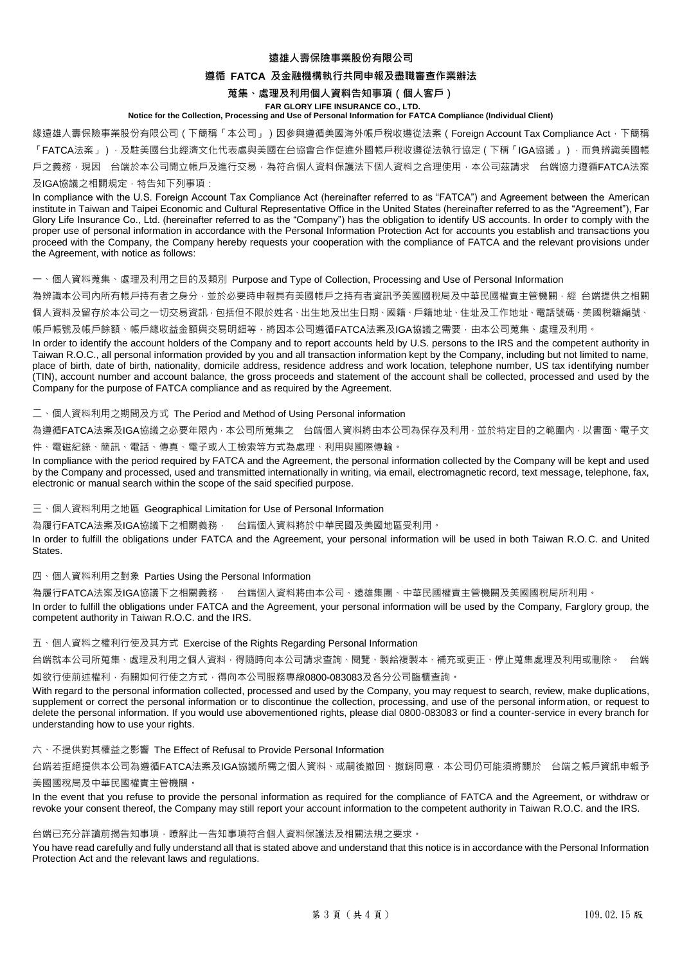#### **遠雄人壽保險事業股份有限公司**

#### **遵循 FATCA 及金融機構執行共同申報及盡職審查作業辦法**

#### **蒐集、處理及利用個人資料告知事項(個人客戶)**

#### **FAR GLORY LIFE INSURANCE CO., LTD. Notice for the Collection, Processing and Use of Personal Information for FATCA Compliance (Individual Client)**

緣遠雄人壽保險事業股份有限公司(下簡稱「本公司」)因參與遵循美國海外帳戶稅收遵從法案(Foreign Account Tax Compliance Act, 下簡稱 「FATCA法案」),及駐美國台北經濟文化代表處與美國在台協會合作促進外國帳戶稅收遵從法執行協定(下稱「IGA協議」),而負辨識美國帳 戶之義務,現因 台端於本公司開立帳戶及進行交易,為符合個人資料保護法下個人資料之合理使用,本公司茲請求 台端協力遵循FATCA法案

#### 及IGA協議之相關規定,特告知下列事項:

In compliance with the U.S. Foreign Account Tax Compliance Act (hereinafter referred to as "FATCA") and Agreement between the American institute in Taiwan and Taipei Economic and Cultural Representative Office in the United States (hereinafter referred to as the "Agreement"), Far Glory Life Insurance Co., Ltd. (hereinafter referred to as the "Company") has the obligation to identify US accounts. In order to comply with the proper use of personal information in accordance with the Personal Information Protection Act for accounts you establish and transactions you proceed with the Company, the Company hereby requests your cooperation with the compliance of FATCA and the relevant provisions under the Agreement, with notice as follows:

#### 一、個人資料蒐集、處理及利用之目的及類別 Purpose and Type of Collection, Processing and Use of Personal Information

為辨識本公司內所有帳戶持有者之身分,並於必要時申報具有美國帳戶之持有者資訊予美國國稅局及中華民國權責主管機關,經 台端提供之相關 個人資料及留存於本公司之一切交易資訊,包括但不限於姓名、出生地及出生日期、國籍、戶籍地址、住址及工作地址、電話號碼、美國稅籍編號、

帳戶帳號及帳戶餘額、帳戶總收益金額與交易明細等,將因本公司遵循FATCA法案及IGA協議之需要,由本公司蒐集、處理及利用。

In order to identify the account holders of the Company and to report accounts held by U.S. persons to the IRS and the competent authority in Taiwan R.O.C., all personal information provided by you and all transaction information kept by the Company, including but not limited to name, place of birth, date of birth, nationality, domicile address, residence address and work location, telephone number, US tax identifying number (TIN), account number and account balance, the gross proceeds and statement of the account shall be collected, processed and used by the Company for the purpose of FATCA compliance and as required by the Agreement.

#### 二、個人資料利用之期間及方式 The Period and Method of Using Personal information

為遵循FATCA法案及IGA協議之必要年限內,本公司所蒐集之 台端個人資料將由本公司為保存及利用,並於特定目的之範圍內,以書面、電子文 件、電磁紀錄、簡訊、電話、傳真、電子或人工檢索等方式為處理、利用與國際傳輸。

In compliance with the period required by FATCA and the Agreement, the personal information collected by the Company will be kept and used by the Company and processed, used and transmitted internationally in writing, via email, electromagnetic record, text message, telephone, fax, electronic or manual search within the scope of the said specified purpose.

三、個人資料利用之地區 Geographical Limitation for Use of Personal Information

為履行FATCA法案及IGA協議下之相關義務, 台端個人資料將於中華民國及美國地區受利用。

In order to fulfill the obligations under FATCA and the Agreement, your personal information will be used in both Taiwan R.O.C. and United States.

#### 四、個人資料利用之對象 Parties Using the Personal Information

為履行FATCA法案及IGA協議下之相關義務, 台端個人資料將由本公司、遠雄集團、中華民國權責主管機關及美國國稅局所利用 In order to fulfill the obligations under FATCA and the Agreement, your personal information will be used by the Company, Farglory group, the competent authority in Taiwan R.O.C. and the IRS.

#### 五、個人資料之權利行使及其方式 Exercise of the Rights Regarding Personal Information

台端就本公司所蒐集、處理及利用之個人資料,得隨時向本公司請求查詢、閱覽、製給複製本、補充或更正、停止蒐集處理及利用或刪除。 台端

如欲行使前述權利,有關如何行使之方式,得向本公司服務專線0800-083083及各分公司臨櫃查詢。

With regard to the personal information collected, processed and used by the Company, you may request to search, review, make duplications, supplement or correct the personal information or to discontinue the collection, processing, and use of the personal information, or request to delete the personal information. If you would use abovementioned rights, please dial 0800-083083 or find a counter-service in every branch for understanding how to use your rights.

## 六、不提供對其權益之影響 The Effect of Refusal to Provide Personal Information

台端若拒絕提供本公司為遵循FATCA法案及IGA協議所需之個人資料、或嗣後撤回、撤銷同意,本公司仍可能須將關於 台端之帳戶資訊申報予 美國國稅局及中華民國權責主管機關。

In the event that you refuse to provide the personal information as required for the compliance of FATCA and the Agreement, or withdraw or revoke your consent thereof, the Company may still report your account information to the competent authority in Taiwan R.O.C. and the IRS.

# 台端已充分詳讀前揭告知事項,瞭解此一告知事項符合個人資料保護法及相關法規之要求。

You have read carefully and fully understand all that is stated above and understand that this notice is in accordance with the Personal Information Protection Act and the relevant laws and regulations.